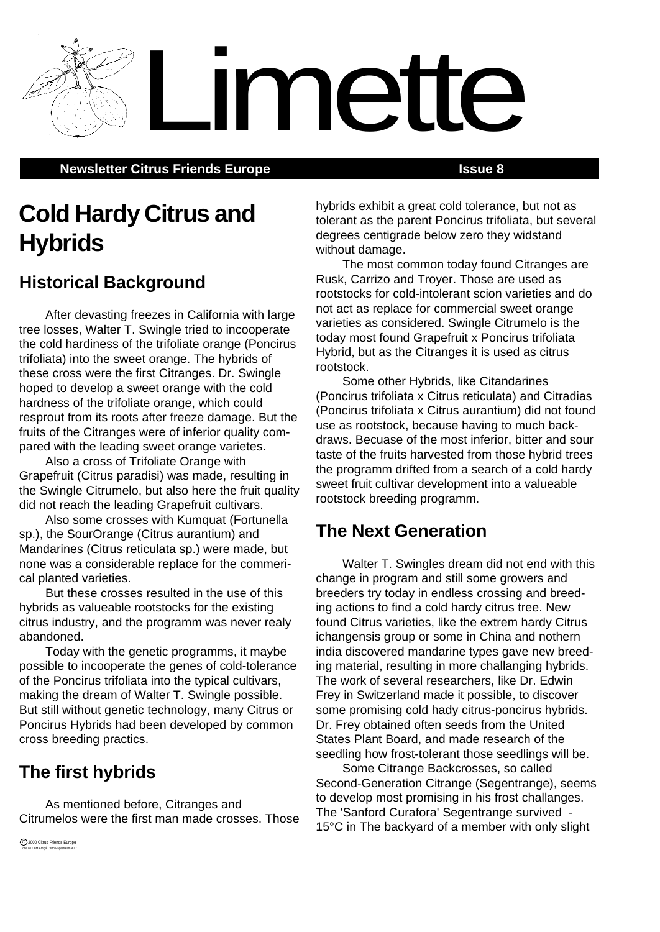**Newsletter Citrus Friends Europe <b>Issue 8 ISSUE 8** 

# **Cold Hardy Citrus and Hybrids**

## **Historical Background**

After devasting freezes in California with large tree losses, Walter T. Swingle tried to incooperate the cold hardiness of the trifoliate orange (Poncirus trifoliata) into the sweet orange. The hybrids of these cross were the first Citranges. Dr. Swingle hoped to develop a sweet orange with the cold hardness of the trifoliate orange, which could resprout from its roots after freeze damage. But the fruits of the Citranges were of inferior quality compared with the leading sweet orange varietes.

Also a cross of Trifoliate Orange with Grapefruit (Citrus paradisi) was made, resulting in the Swingle Citrumelo, but also here the fruit quality did not reach the leading Grapefruit cultivars.

Also some crosses with Kumquat (Fortunella sp.), the SourOrange (Citrus aurantium) and Mandarines (Citrus reticulata sp.) were made, but none was a considerable replace for the commerical planted varieties.

But these crosses resulted in the use of this hybrids as valueable rootstocks for the existing citrus industry, and the programm was never realy abandoned.

Today with the genetic programms, it maybe possible to incooperate the genes of cold-tolerance of the Poncirus trifoliata into the typical cultivars, making the dream of Walter T. Swingle possible. But still without genetic technology, many Citrus or Poncirus Hybrids had been developed by common cross breeding practics.

## **The first hybrids**

As mentioned before, Citranges and Citrumelos were the first man made crosses. Those hybrids exhibit a great cold tolerance, but not as tolerant as the parent Poncirus trifoliata, but several degrees centigrade below zero they widstand without damage.

Limette

The most common today found Citranges are Rusk, Carrizo and Troyer. Those are used as rootstocks for cold-intolerant scion varieties and do not act as replace for commercial sweet orange varieties as considered. Swingle Citrumelo is the today most found Grapefruit x Poncirus trifoliata Hybrid, but as the Citranges it is used as citrus rootstock.

Some other Hybrids, like Citandarines (Poncirus trifoliata x Citrus reticulata) and Citradias (Poncirus trifoliata x Citrus aurantium) did not found use as rootstock, because having to much backdraws. Becuase of the most inferior, bitter and sour taste of the fruits harvested from those hybrid trees the programm drifted from a search of a cold hardy sweet fruit cultivar development into a valueable rootstock breeding programm.

## **The Next Generation**

Walter T. Swingles dream did not end with this change in program and still some growers and breeders try today in endless crossing and breeding actions to find a cold hardy citrus tree. New found Citrus varieties, like the extrem hardy Citrus ichangensis group or some in China and nothern india discovered mandarine types gave new breeding material, resulting in more challanging hybrids. The work of several researchers, like Dr. Edwin Frey in Switzerland made it possible, to discover some promising cold hady citrus-poncirus hybrids. Dr. Frey obtained often seeds from the United States Plant Board, and made research of the seedling how frost-tolerant those seedlings will be.

Some Citrange Backcrosses, so called Second-Generation Citrange (Segentrange), seems to develop most promising in his frost challanges. The 'Sanford Curafora' Segentrange survived - 15°C in The backyard of a member with only slight